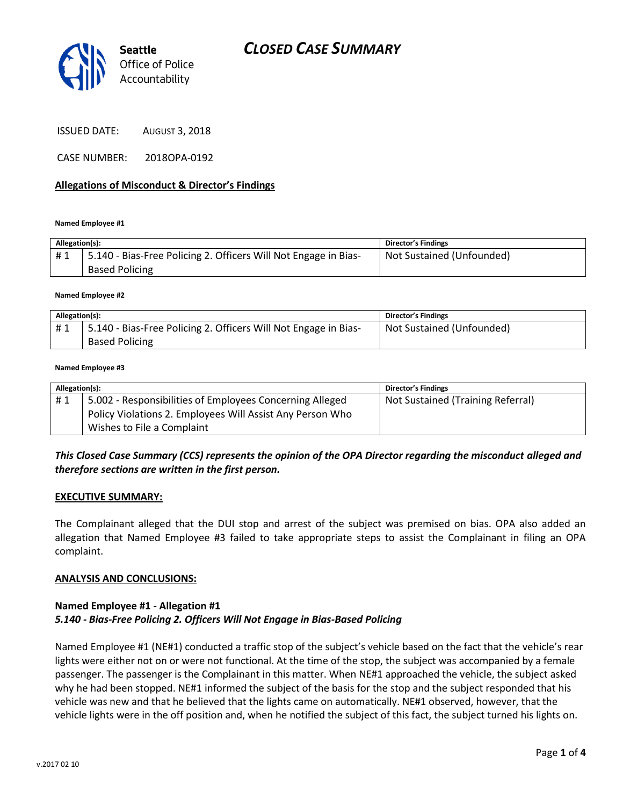

| <b>ISSUED DATE:</b> | <b>AUGUST 3, 2018</b> |
|---------------------|-----------------------|
|---------------------|-----------------------|

CASE NUMBER: 2018OPA-0192

### **Allegations of Misconduct & Director's Findings**

#### **Named Employee #1**

| Allegation(s): |                                                                                          | <b>Director's Findings</b> |
|----------------|------------------------------------------------------------------------------------------|----------------------------|
| #1             | 5.140 - Bias-Free Policing 2. Officers Will Not Engage in Bias-<br><b>Based Policing</b> | Not Sustained (Unfounded)  |

#### **Named Employee #2**

| Allegation(s): |                                                                 | <b>Director's Findings</b> |
|----------------|-----------------------------------------------------------------|----------------------------|
| #1             | 5.140 - Bias-Free Policing 2. Officers Will Not Engage in Bias- | Not Sustained (Unfounded)  |
|                | <b>Based Policing</b>                                           |                            |

#### **Named Employee #3**

| Allegation(s): |                                                           | <b>Director's Findings</b>        |
|----------------|-----------------------------------------------------------|-----------------------------------|
| #1             | 5.002 - Responsibilities of Employees Concerning Alleged  | Not Sustained (Training Referral) |
|                | Policy Violations 2. Employees Will Assist Any Person Who |                                   |
|                | Wishes to File a Complaint                                |                                   |

## *This Closed Case Summary (CCS) represents the opinion of the OPA Director regarding the misconduct alleged and therefore sections are written in the first person.*

### **EXECUTIVE SUMMARY:**

The Complainant alleged that the DUI stop and arrest of the subject was premised on bias. OPA also added an allegation that Named Employee #3 failed to take appropriate steps to assist the Complainant in filing an OPA complaint.

### **ANALYSIS AND CONCLUSIONS:**

## **Named Employee #1 - Allegation #1** *5.140 - Bias-Free Policing 2. Officers Will Not Engage in Bias-Based Policing*

Named Employee #1 (NE#1) conducted a traffic stop of the subject's vehicle based on the fact that the vehicle's rear lights were either not on or were not functional. At the time of the stop, the subject was accompanied by a female passenger. The passenger is the Complainant in this matter. When NE#1 approached the vehicle, the subject asked why he had been stopped. NE#1 informed the subject of the basis for the stop and the subject responded that his vehicle was new and that he believed that the lights came on automatically. NE#1 observed, however, that the vehicle lights were in the off position and, when he notified the subject of this fact, the subject turned his lights on.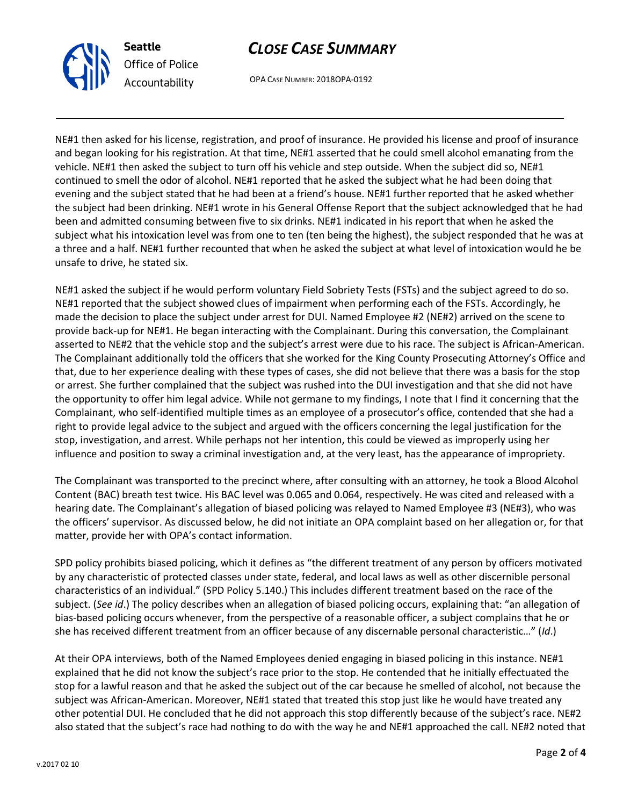

# *CLOSE CASE SUMMARY*

OPA CASE NUMBER: 2018OPA-0192

NE#1 then asked for his license, registration, and proof of insurance. He provided his license and proof of insurance and began looking for his registration. At that time, NE#1 asserted that he could smell alcohol emanating from the vehicle. NE#1 then asked the subject to turn off his vehicle and step outside. When the subject did so, NE#1 continued to smell the odor of alcohol. NE#1 reported that he asked the subject what he had been doing that evening and the subject stated that he had been at a friend's house. NE#1 further reported that he asked whether the subject had been drinking. NE#1 wrote in his General Offense Report that the subject acknowledged that he had been and admitted consuming between five to six drinks. NE#1 indicated in his report that when he asked the subject what his intoxication level was from one to ten (ten being the highest), the subject responded that he was at a three and a half. NE#1 further recounted that when he asked the subject at what level of intoxication would he be unsafe to drive, he stated six.

NE#1 asked the subject if he would perform voluntary Field Sobriety Tests (FSTs) and the subject agreed to do so. NE#1 reported that the subject showed clues of impairment when performing each of the FSTs. Accordingly, he made the decision to place the subject under arrest for DUI. Named Employee #2 (NE#2) arrived on the scene to provide back-up for NE#1. He began interacting with the Complainant. During this conversation, the Complainant asserted to NE#2 that the vehicle stop and the subject's arrest were due to his race. The subject is African-American. The Complainant additionally told the officers that she worked for the King County Prosecuting Attorney's Office and that, due to her experience dealing with these types of cases, she did not believe that there was a basis for the stop or arrest. She further complained that the subject was rushed into the DUI investigation and that she did not have the opportunity to offer him legal advice. While not germane to my findings, I note that I find it concerning that the Complainant, who self-identified multiple times as an employee of a prosecutor's office, contended that she had a right to provide legal advice to the subject and argued with the officers concerning the legal justification for the stop, investigation, and arrest. While perhaps not her intention, this could be viewed as improperly using her influence and position to sway a criminal investigation and, at the very least, has the appearance of impropriety.

The Complainant was transported to the precinct where, after consulting with an attorney, he took a Blood Alcohol Content (BAC) breath test twice. His BAC level was 0.065 and 0.064, respectively. He was cited and released with a hearing date. The Complainant's allegation of biased policing was relayed to Named Employee #3 (NE#3), who was the officers' supervisor. As discussed below, he did not initiate an OPA complaint based on her allegation or, for that matter, provide her with OPA's contact information.

SPD policy prohibits biased policing, which it defines as "the different treatment of any person by officers motivated by any characteristic of protected classes under state, federal, and local laws as well as other discernible personal characteristics of an individual." (SPD Policy 5.140.) This includes different treatment based on the race of the subject. (*See id*.) The policy describes when an allegation of biased policing occurs, explaining that: "an allegation of bias-based policing occurs whenever, from the perspective of a reasonable officer, a subject complains that he or she has received different treatment from an officer because of any discernable personal characteristic…" (*Id*.)

At their OPA interviews, both of the Named Employees denied engaging in biased policing in this instance. NE#1 explained that he did not know the subject's race prior to the stop. He contended that he initially effectuated the stop for a lawful reason and that he asked the subject out of the car because he smelled of alcohol, not because the subject was African-American. Moreover, NE#1 stated that treated this stop just like he would have treated any other potential DUI. He concluded that he did not approach this stop differently because of the subject's race. NE#2 also stated that the subject's race had nothing to do with the way he and NE#1 approached the call. NE#2 noted that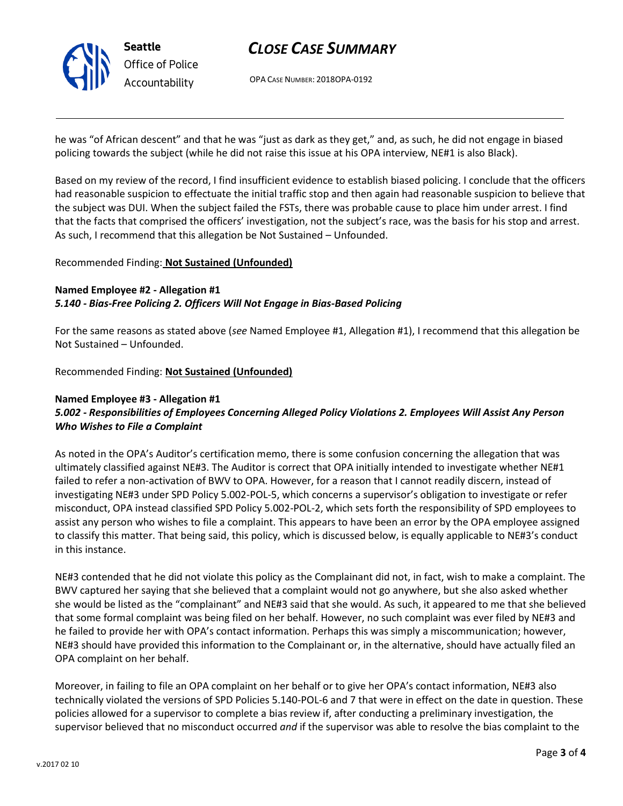

# *CLOSE CASE SUMMARY*

OPA CASE NUMBER: 2018OPA-0192

he was "of African descent" and that he was "just as dark as they get," and, as such, he did not engage in biased policing towards the subject (while he did not raise this issue at his OPA interview, NE#1 is also Black).

Based on my review of the record, I find insufficient evidence to establish biased policing. I conclude that the officers had reasonable suspicion to effectuate the initial traffic stop and then again had reasonable suspicion to believe that the subject was DUI. When the subject failed the FSTs, there was probable cause to place him under arrest. I find that the facts that comprised the officers' investigation, not the subject's race, was the basis for his stop and arrest. As such, I recommend that this allegation be Not Sustained – Unfounded.

## Recommended Finding: **Not Sustained (Unfounded)**

## **Named Employee #2 - Allegation #1** *5.140 - Bias-Free Policing 2. Officers Will Not Engage in Bias-Based Policing*

For the same reasons as stated above (*see* Named Employee #1, Allegation #1), I recommend that this allegation be Not Sustained – Unfounded.

Recommended Finding: **Not Sustained (Unfounded)**

## **Named Employee #3 - Allegation #1**

## *5.002 - Responsibilities of Employees Concerning Alleged Policy Violations 2. Employees Will Assist Any Person Who Wishes to File a Complaint*

As noted in the OPA's Auditor's certification memo, there is some confusion concerning the allegation that was ultimately classified against NE#3. The Auditor is correct that OPA initially intended to investigate whether NE#1 failed to refer a non-activation of BWV to OPA. However, for a reason that I cannot readily discern, instead of investigating NE#3 under SPD Policy 5.002-POL-5, which concerns a supervisor's obligation to investigate or refer misconduct, OPA instead classified SPD Policy 5.002-POL-2, which sets forth the responsibility of SPD employees to assist any person who wishes to file a complaint. This appears to have been an error by the OPA employee assigned to classify this matter. That being said, this policy, which is discussed below, is equally applicable to NE#3's conduct in this instance.

NE#3 contended that he did not violate this policy as the Complainant did not, in fact, wish to make a complaint. The BWV captured her saying that she believed that a complaint would not go anywhere, but she also asked whether she would be listed as the "complainant" and NE#3 said that she would. As such, it appeared to me that she believed that some formal complaint was being filed on her behalf. However, no such complaint was ever filed by NE#3 and he failed to provide her with OPA's contact information. Perhaps this was simply a miscommunication; however, NE#3 should have provided this information to the Complainant or, in the alternative, should have actually filed an OPA complaint on her behalf.

Moreover, in failing to file an OPA complaint on her behalf or to give her OPA's contact information, NE#3 also technically violated the versions of SPD Policies 5.140-POL-6 and 7 that were in effect on the date in question. These policies allowed for a supervisor to complete a bias review if, after conducting a preliminary investigation, the supervisor believed that no misconduct occurred *and* if the supervisor was able to resolve the bias complaint to the